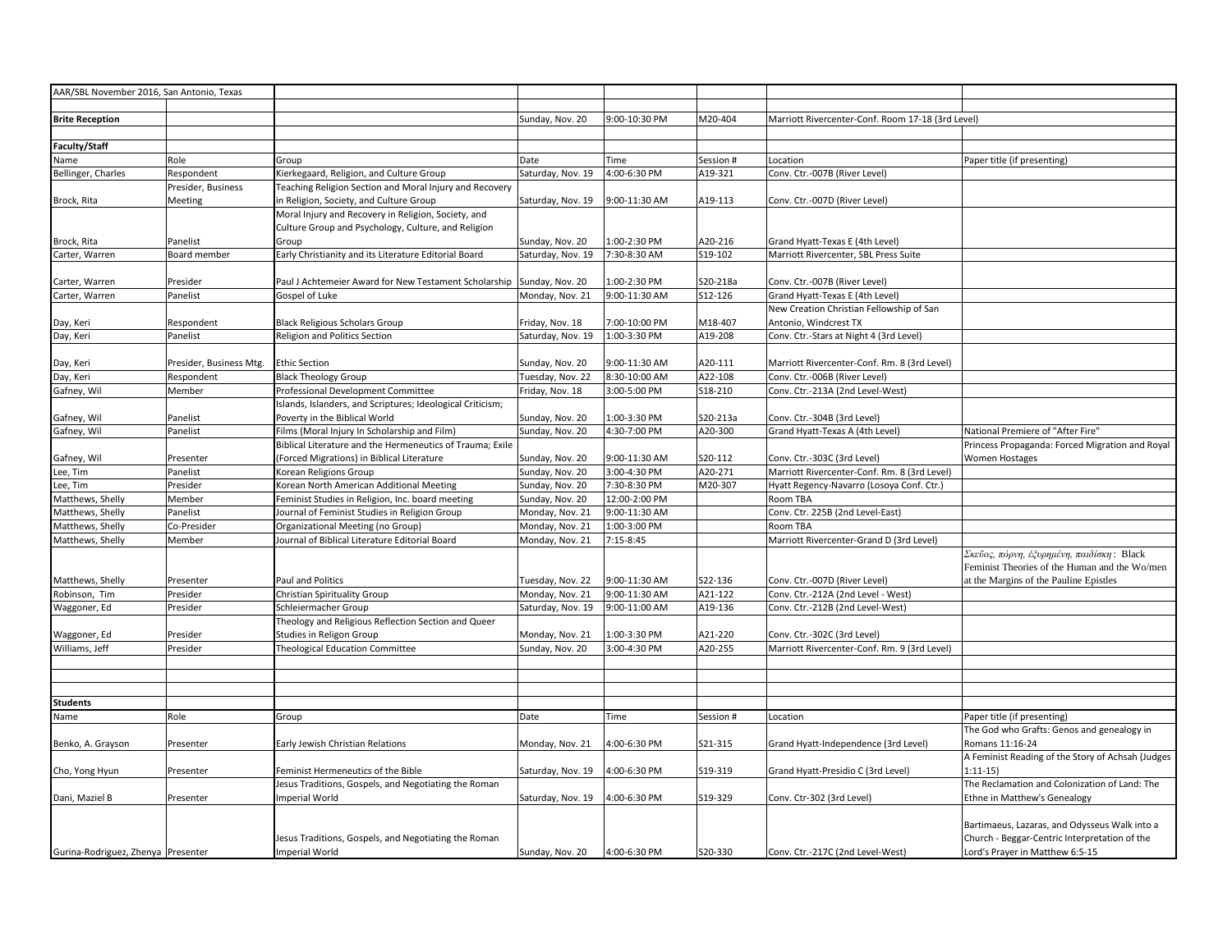| AAR/SBL November 2016, San Antonio, Texas |                         |                                                                                                |                                     |                                |                    |                                                                     |                                                                                         |
|-------------------------------------------|-------------------------|------------------------------------------------------------------------------------------------|-------------------------------------|--------------------------------|--------------------|---------------------------------------------------------------------|-----------------------------------------------------------------------------------------|
|                                           |                         |                                                                                                |                                     |                                |                    |                                                                     |                                                                                         |
| <b>Brite Reception</b>                    |                         |                                                                                                | Sunday, Nov. 20                     | 9:00-10:30 PM                  | M20-404            | Marriott Rivercenter-Conf. Room 17-18 (3rd Level)                   |                                                                                         |
|                                           |                         |                                                                                                |                                     |                                |                    |                                                                     |                                                                                         |
| <b>Faculty/Staff</b>                      |                         |                                                                                                |                                     |                                |                    |                                                                     |                                                                                         |
| Name                                      | Role                    | Group                                                                                          | Date                                | Time                           | Session #          | Location                                                            | Paper title (if presenting)                                                             |
| Bellinger, Charles                        | Respondent              | Kierkegaard, Religion, and Culture Group                                                       | Saturday, Nov. 19                   | 4:00-6:30 PM                   | A19-321            | Conv. Ctr.-007B (River Level)                                       |                                                                                         |
|                                           | Presider, Business      | Teaching Religion Section and Moral Injury and Recovery                                        |                                     |                                |                    |                                                                     |                                                                                         |
| Brock, Rita                               | Meeting                 | in Religion, Society, and Culture Group<br>Moral Injury and Recovery in Religion, Society, and | Saturday, Nov. 19                   | 9:00-11:30 AM                  | A19-113            | Conv. Ctr.-007D (River Level)                                       |                                                                                         |
|                                           |                         | Culture Group and Psychology, Culture, and Religion                                            |                                     |                                |                    |                                                                     |                                                                                         |
| Brock, Rita                               | Panelist                | Group                                                                                          | Sunday, Nov. 20                     | 1:00-2:30 PM                   | A20-216            | Grand Hyatt-Texas E (4th Level)                                     |                                                                                         |
| Carter, Warren                            | Board member            | Early Christianity and its Literature Editorial Board                                          | Saturday, Nov. 19                   | 7:30-8:30 AM                   | S19-102            | Marriott Rivercenter, SBL Press Suite                               |                                                                                         |
|                                           |                         |                                                                                                |                                     |                                |                    |                                                                     |                                                                                         |
| Carter, Warren                            | Presider                | Paul J Achtemeier Award for New Testament Scholarship                                          | Sunday, Nov. 20                     | 1:00-2:30 PM                   | S20-218a           | Conv. Ctr.-007B (River Level)                                       |                                                                                         |
| Carter, Warren                            | Panelist                | Gospel of Luke                                                                                 | Monday, Nov. 21                     | 9:00-11:30 AM                  | S12-126            | Grand Hyatt-Texas E (4th Level)                                     |                                                                                         |
|                                           |                         |                                                                                                |                                     |                                |                    | New Creation Christian Fellowship of San                            |                                                                                         |
| Day, Keri                                 | Respondent              | <b>Black Religious Scholars Group</b>                                                          | Friday, Nov. 18                     | 7:00-10:00 PM                  | M18-407            | Antonio, Windcrest TX                                               |                                                                                         |
| Day, Keri                                 | Panelist                | Religion and Politics Section                                                                  | Saturday, Nov. 19                   | 1:00-3:30 PM                   | A19-208            | Conv. Ctr.-Stars at Night 4 (3rd Level)                             |                                                                                         |
|                                           |                         |                                                                                                |                                     |                                |                    |                                                                     |                                                                                         |
| Day, Keri                                 | Presider, Business Mtg. | <b>Ethic Section</b>                                                                           | Sunday, Nov. 20                     | 9:00-11:30 AM                  | A20-111            | Marriott Rivercenter-Conf. Rm. 8 (3rd Level)                        |                                                                                         |
| Day, Keri                                 | Respondent              | <b>Black Theology Group</b>                                                                    | Tuesday, Nov. 22                    | 8:30-10:00 AM                  | A22-108            | Conv. Ctr.-006B (River Level)                                       |                                                                                         |
| Gafney, Wil                               | Member                  | Professional Development Committee                                                             | Friday, Nov. 18                     | 3:00-5:00 PM                   | S18-210            | Conv. Ctr.-213A (2nd Level-West)                                    |                                                                                         |
|                                           |                         | Islands, Islanders, and Scriptures; Ideological Criticism;                                     |                                     |                                |                    |                                                                     |                                                                                         |
| Gafney, Wil                               | Panelist                | Poverty in the Biblical World                                                                  | Sunday, Nov. 20                     | 1:00-3:30 PM                   | S20-213a           | Conv. Ctr.-304B (3rd Level)                                         |                                                                                         |
| Gafney, Wil                               | Panelist                | Films (Moral Injury In Scholarship and Film)                                                   | Sunday, Nov. 20                     | 4:30-7:00 PM                   | A20-300            | Grand Hyatt-Texas A (4th Level)                                     | National Premiere of "After Fire"                                                       |
|                                           |                         | Biblical Literature and the Hermeneutics of Trauma; Exile                                      |                                     |                                |                    |                                                                     | Princess Propaganda: Forced Migration and Royal                                         |
| Gafney, Wil                               | Presenter               | (Forced Migrations) in Biblical Literature                                                     | Sunday, Nov. 20                     | 9:00-11:30 AM                  | S20-112            | Conv. Ctr.-303C (3rd Level)                                         | <b>Women Hostages</b>                                                                   |
| Lee, Tim                                  | Panelist                | Korean Religions Group                                                                         | Sunday, Nov. 20                     | 3:00-4:30 PM                   | A20-271            | Marriott Rivercenter-Conf. Rm. 8 (3rd Level)                        |                                                                                         |
| .ee, Tim                                  | Presider                | Korean North American Additional Meeting                                                       | Sunday, Nov. 20                     | 7:30-8:30 PM                   | M20-307            | Hyatt Regency-Navarro (Losoya Conf. Ctr.)                           |                                                                                         |
| Matthews, Shelly                          | Member                  | Feminist Studies in Religion, Inc. board meeting                                               | Sunday, Nov. 20                     | 12:00-2:00 PM                  |                    | Room TBA                                                            |                                                                                         |
| Matthews, Shelly                          | Panelist                | Journal of Feminist Studies in Religion Group                                                  | Monday, Nov. 21                     | 9:00-11:30 AM                  |                    | Conv. Ctr. 225B (2nd Level-East)                                    |                                                                                         |
| Matthews, Shelly                          | Co-Presider             | Organizational Meeting (no Group)                                                              | Monday, Nov. 21                     | 1:00-3:00 PM                   |                    | Room TBA                                                            |                                                                                         |
| Matthews, Shelly                          | Member                  | Journal of Biblical Literature Editorial Board                                                 | Monday, Nov. 21                     | 7:15-8:45                      |                    | Marriott Rivercenter-Grand D (3rd Level)                            |                                                                                         |
|                                           |                         |                                                                                                |                                     |                                |                    |                                                                     | Σκεῦος, πόρνη, ἐξυρημένη, παιδίσκη: Black                                               |
|                                           |                         |                                                                                                |                                     |                                |                    |                                                                     | Feminist Theories of the Human and the Wo/men<br>at the Margins of the Pauline Epistles |
| Matthews, Shelly<br>Robinson, Tim         | Presenter<br>Presider   | Paul and Politics<br>Christian Spirituality Group                                              | Tuesday, Nov. 22<br>Monday, Nov. 21 | 9:00-11:30 AM<br>9:00-11:30 AM | S22-136<br>A21-122 | Conv. Ctr.-007D (River Level)<br>Conv. Ctr.-212A (2nd Level - West) |                                                                                         |
| Waggoner, Ed                              | Presider                | Schleiermacher Group                                                                           | Saturday, Nov. 19                   | 9:00-11:00 AM                  | A19-136            | Conv. Ctr.-212B (2nd Level-West)                                    |                                                                                         |
|                                           |                         | Theology and Religious Reflection Section and Queer                                            |                                     |                                |                    |                                                                     |                                                                                         |
| Waggoner, Ed                              | Presider                | Studies in Religon Group                                                                       | Monday, Nov. 21                     | 1:00-3:30 PM                   | A21-220            | Conv. Ctr.-302C (3rd Level)                                         |                                                                                         |
| Williams, Jeff                            | Presider                | <b>Theological Education Committee</b>                                                         | Sunday, Nov. 20                     | 3:00-4:30 PM                   | A20-255            | Marriott Rivercenter-Conf. Rm. 9 (3rd Level)                        |                                                                                         |
|                                           |                         |                                                                                                |                                     |                                |                    |                                                                     |                                                                                         |
|                                           |                         |                                                                                                |                                     |                                |                    |                                                                     |                                                                                         |
|                                           |                         |                                                                                                |                                     |                                |                    |                                                                     |                                                                                         |
| <b>Students</b>                           |                         |                                                                                                |                                     |                                |                    |                                                                     |                                                                                         |
| Name                                      | Role                    | Group                                                                                          | Date                                | Time                           | Session #          | Location                                                            | Paper title (if presenting)                                                             |
|                                           |                         |                                                                                                |                                     |                                |                    |                                                                     | The God who Grafts: Genos and genealogy in                                              |
| Benko, A. Grayson                         | Presenter               | Early Jewish Christian Relations                                                               | Monday, Nov. 21                     | 4:00-6:30 PM                   | S21-315            | Grand Hyatt-Independence (3rd Level)                                | Romans 11:16-24                                                                         |
|                                           |                         |                                                                                                |                                     |                                |                    |                                                                     | A Feminist Reading of the Story of Achsah (Judges                                       |
| Cho, Yong Hyun                            | Presenter               | Feminist Hermeneutics of the Bible                                                             | Saturday, Nov. 19                   | 4:00-6:30 PM                   | S19-319            | Grand Hyatt-Presidio C (3rd Level)                                  | $1:11-15$                                                                               |
|                                           |                         | Jesus Traditions, Gospels, and Negotiating the Roman                                           |                                     |                                |                    |                                                                     | The Reclamation and Colonization of Land: The                                           |
| Dani, Maziel B                            | Presenter               | <b>Imperial World</b>                                                                          | Saturday, Nov. 19                   | 4:00-6:30 PM                   | S19-329            | Conv. Ctr-302 (3rd Level)                                           | Ethne in Matthew's Genealogy                                                            |
|                                           |                         |                                                                                                |                                     |                                |                    |                                                                     |                                                                                         |
|                                           |                         |                                                                                                |                                     |                                |                    |                                                                     | Bartimaeus, Lazaras, and Odysseus Walk into a                                           |
|                                           |                         | Jesus Traditions, Gospels, and Negotiating the Roman                                           |                                     |                                |                    |                                                                     | Church - Beggar-Centric Interpretation of the                                           |
| Gurina-Rodriguez, Zhenya Presenter        |                         | <b>Imperial World</b>                                                                          | Sunday, Nov. 20                     | 4:00-6:30 PM                   | S20-330            | Conv. Ctr.-217C (2nd Level-West)                                    | Lord's Prayer in Matthew 6:5-15                                                         |